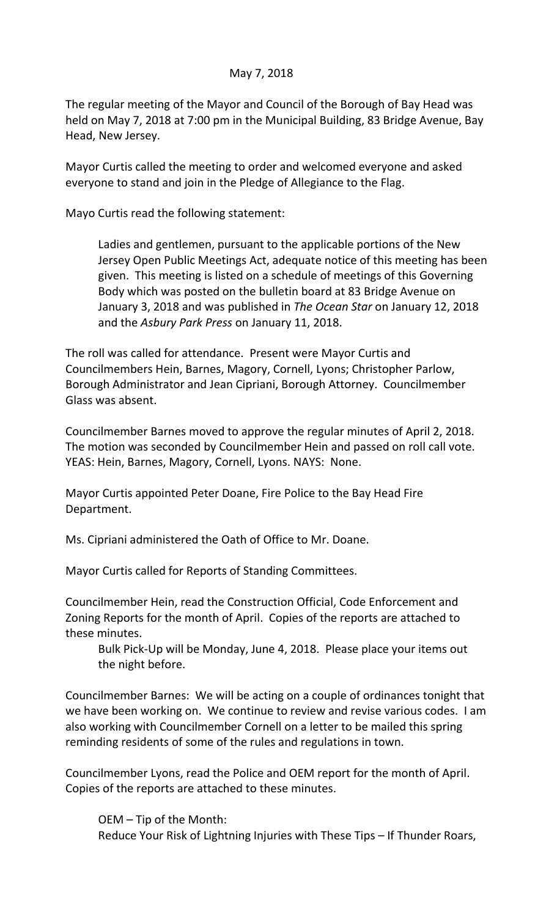## May 7, 2018

The regular meeting of the Mayor and Council of the Borough of Bay Head was held on May 7, 2018 at 7:00 pm in the Municipal Building, 83 Bridge Avenue, Bay Head, New Jersey.

Mayor Curtis called the meeting to order and welcomed everyone and asked everyone to stand and join in the Pledge of Allegiance to the Flag.

Mayo Curtis read the following statement:

Ladies and gentlemen, pursuant to the applicable portions of the New Jersey Open Public Meetings Act, adequate notice of this meeting has been given. This meeting is listed on a schedule of meetings of this Governing Body which was posted on the bulletin board at 83 Bridge Avenue on January 3, 2018 and was published in *The Ocean Star* on January 12, 2018 and the *Asbury Park Press* on January 11, 2018.

The roll was called for attendance. Present were Mayor Curtis and Councilmembers Hein, Barnes, Magory, Cornell, Lyons; Christopher Parlow, Borough Administrator and Jean Cipriani, Borough Attorney. Councilmember Glass was absent.

Councilmember Barnes moved to approve the regular minutes of April 2, 2018. The motion was seconded by Councilmember Hein and passed on roll call vote. YEAS: Hein, Barnes, Magory, Cornell, Lyons. NAYS: None.

Mayor Curtis appointed Peter Doane, Fire Police to the Bay Head Fire Department.

Ms. Cipriani administered the Oath of Office to Mr. Doane.

Mayor Curtis called for Reports of Standing Committees.

Councilmember Hein, read the Construction Official, Code Enforcement and Zoning Reports for the month of April. Copies of the reports are attached to these minutes.

Bulk Pick-Up will be Monday, June 4, 2018. Please place your items out the night before.

Councilmember Barnes: We will be acting on a couple of ordinances tonight that we have been working on. We continue to review and revise various codes. I am also working with Councilmember Cornell on a letter to be mailed this spring reminding residents of some of the rules and regulations in town.

Councilmember Lyons, read the Police and OEM report for the month of April. Copies of the reports are attached to these minutes.

OEM – Tip of the Month: Reduce Your Risk of Lightning Injuries with These Tips – If Thunder Roars,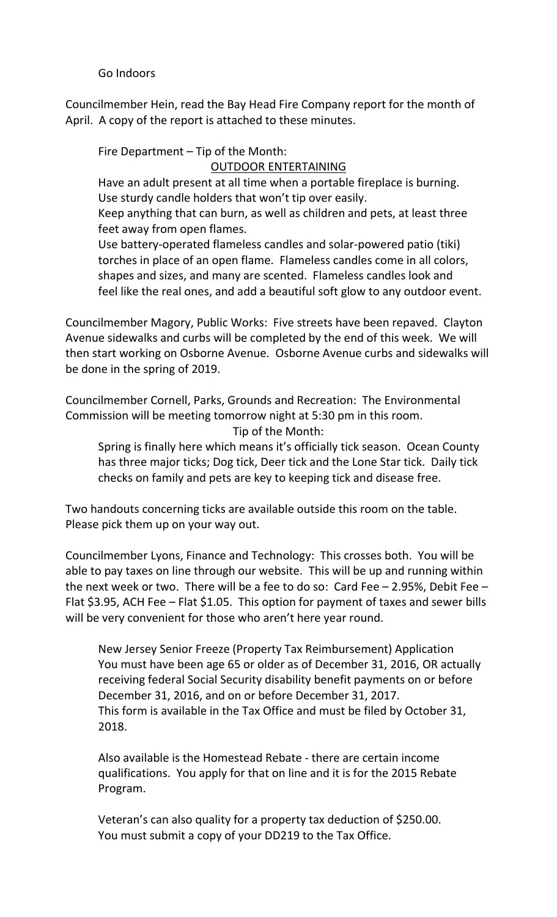Go Indoors

Councilmember Hein, read the Bay Head Fire Company report for the month of April. A copy of the report is attached to these minutes.

Fire Department – Tip of the Month:

## OUTDOOR ENTERTAINING

Have an adult present at all time when a portable fireplace is burning. Use sturdy candle holders that won't tip over easily.

Keep anything that can burn, as well as children and pets, at least three feet away from open flames.

Use battery-operated flameless candles and solar-powered patio (tiki) torches in place of an open flame. Flameless candles come in all colors, shapes and sizes, and many are scented. Flameless candles look and feel like the real ones, and add a beautiful soft glow to any outdoor event.

Councilmember Magory, Public Works: Five streets have been repaved. Clayton Avenue sidewalks and curbs will be completed by the end of this week. We will then start working on Osborne Avenue. Osborne Avenue curbs and sidewalks will be done in the spring of 2019.

Councilmember Cornell, Parks, Grounds and Recreation: The Environmental Commission will be meeting tomorrow night at 5:30 pm in this room. Tip of the Month:

Spring is finally here which means it's officially tick season. Ocean County has three major ticks; Dog tick, Deer tick and the Lone Star tick. Daily tick checks on family and pets are key to keeping tick and disease free.

Two handouts concerning ticks are available outside this room on the table. Please pick them up on your way out.

Councilmember Lyons, Finance and Technology: This crosses both. You will be able to pay taxes on line through our website. This will be up and running within the next week or two. There will be a fee to do so: Card Fee – 2.95%, Debit Fee – Flat \$3.95, ACH Fee – Flat \$1.05. This option for payment of taxes and sewer bills will be very convenient for those who aren't here year round.

New Jersey Senior Freeze (Property Tax Reimbursement) Application You must have been age 65 or older as of December 31, 2016, OR actually receiving federal Social Security disability benefit payments on or before December 31, 2016, and on or before December 31, 2017. This form is available in the Tax Office and must be filed by October 31, 2018.

Also available is the Homestead Rebate - there are certain income qualifications. You apply for that on line and it is for the 2015 Rebate Program.

Veteran's can also quality for a property tax deduction of \$250.00. You must submit a copy of your DD219 to the Tax Office.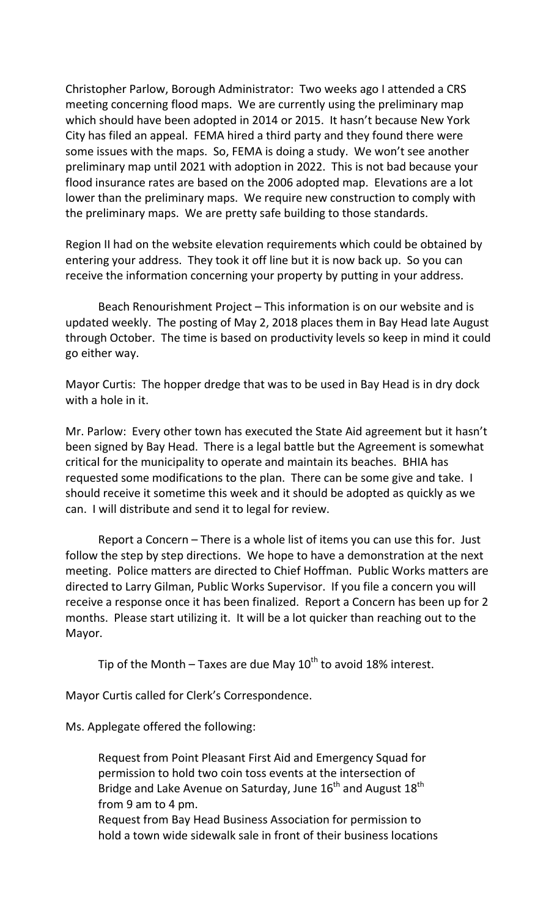Christopher Parlow, Borough Administrator: Two weeks ago I attended a CRS meeting concerning flood maps. We are currently using the preliminary map which should have been adopted in 2014 or 2015. It hasn't because New York City has filed an appeal. FEMA hired a third party and they found there were some issues with the maps. So, FEMA is doing a study. We won't see another preliminary map until 2021 with adoption in 2022. This is not bad because your flood insurance rates are based on the 2006 adopted map. Elevations are a lot lower than the preliminary maps. We require new construction to comply with the preliminary maps. We are pretty safe building to those standards.

Region II had on the website elevation requirements which could be obtained by entering your address. They took it off line but it is now back up. So you can receive the information concerning your property by putting in your address.

Beach Renourishment Project – This information is on our website and is updated weekly. The posting of May 2, 2018 places them in Bay Head late August through October. The time is based on productivity levels so keep in mind it could go either way.

Mayor Curtis: The hopper dredge that was to be used in Bay Head is in dry dock with a hole in it.

Mr. Parlow: Every other town has executed the State Aid agreement but it hasn't been signed by Bay Head. There is a legal battle but the Agreement is somewhat critical for the municipality to operate and maintain its beaches. BHIA has requested some modifications to the plan. There can be some give and take. I should receive it sometime this week and it should be adopted as quickly as we can. I will distribute and send it to legal for review.

Report a Concern – There is a whole list of items you can use this for. Just follow the step by step directions. We hope to have a demonstration at the next meeting. Police matters are directed to Chief Hoffman. Public Works matters are directed to Larry Gilman, Public Works Supervisor. If you file a concern you will receive a response once it has been finalized. Report a Concern has been up for 2 months. Please start utilizing it. It will be a lot quicker than reaching out to the Mayor.

Tip of the Month – Taxes are due May  $10^{th}$  to avoid 18% interest.

Mayor Curtis called for Clerk's Correspondence.

Ms. Applegate offered the following:

Request from Point Pleasant First Aid and Emergency Squad for permission to hold two coin toss events at the intersection of Bridge and Lake Avenue on Saturday, June  $16<sup>th</sup>$  and August  $18<sup>th</sup>$ from 9 am to 4 pm.

Request from Bay Head Business Association for permission to hold a town wide sidewalk sale in front of their business locations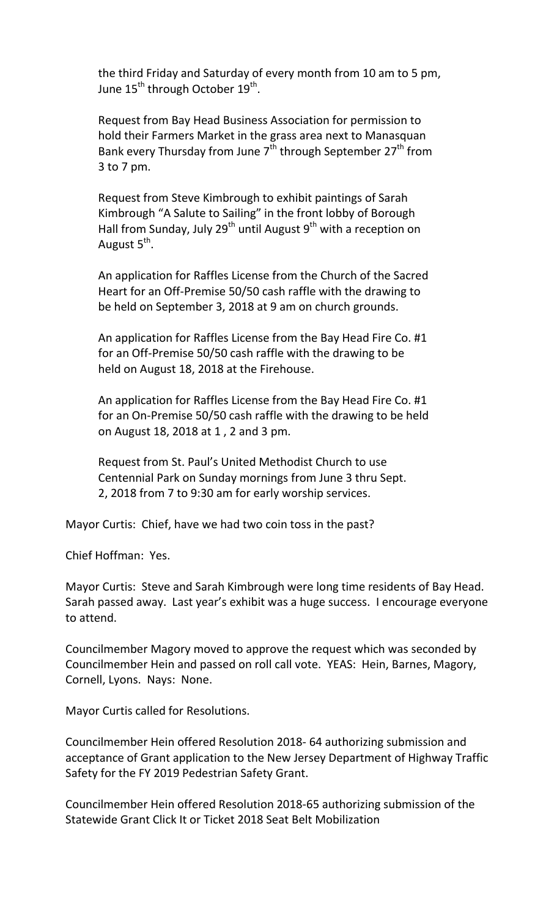the third Friday and Saturday of every month from 10 am to 5 pm, June  $15^{\text{th}}$  through October  $19^{\text{th}}$ .

Request from Bay Head Business Association for permission to hold their Farmers Market in the grass area next to Manasquan Bank every Thursday from June  $7<sup>th</sup>$  through September 27<sup>th</sup> from 3 to 7 pm.

Request from Steve Kimbrough to exhibit paintings of Sarah Kimbrough "A Salute to Sailing" in the front lobby of Borough Hall from Sunday, July 29<sup>th</sup> until August 9<sup>th</sup> with a reception on August 5<sup>th</sup>.

An application for Raffles License from the Church of the Sacred Heart for an Off-Premise 50/50 cash raffle with the drawing to be held on September 3, 2018 at 9 am on church grounds.

An application for Raffles License from the Bay Head Fire Co. #1 for an Off-Premise 50/50 cash raffle with the drawing to be held on August 18, 2018 at the Firehouse.

An application for Raffles License from the Bay Head Fire Co. #1 for an On-Premise 50/50 cash raffle with the drawing to be held on August 18, 2018 at 1 , 2 and 3 pm.

Request from St. Paul's United Methodist Church to use Centennial Park on Sunday mornings from June 3 thru Sept. 2, 2018 from 7 to 9:30 am for early worship services.

Mayor Curtis: Chief, have we had two coin toss in the past?

Chief Hoffman: Yes.

Mayor Curtis: Steve and Sarah Kimbrough were long time residents of Bay Head. Sarah passed away. Last year's exhibit was a huge success. I encourage everyone to attend.

Councilmember Magory moved to approve the request which was seconded by Councilmember Hein and passed on roll call vote. YEAS: Hein, Barnes, Magory, Cornell, Lyons. Nays: None.

Mayor Curtis called for Resolutions.

Councilmember Hein offered Resolution 2018- 64 authorizing submission and acceptance of Grant application to the New Jersey Department of Highway Traffic Safety for the FY 2019 Pedestrian Safety Grant.

Councilmember Hein offered Resolution 2018-65 authorizing submission of the Statewide Grant Click It or Ticket 2018 Seat Belt Mobilization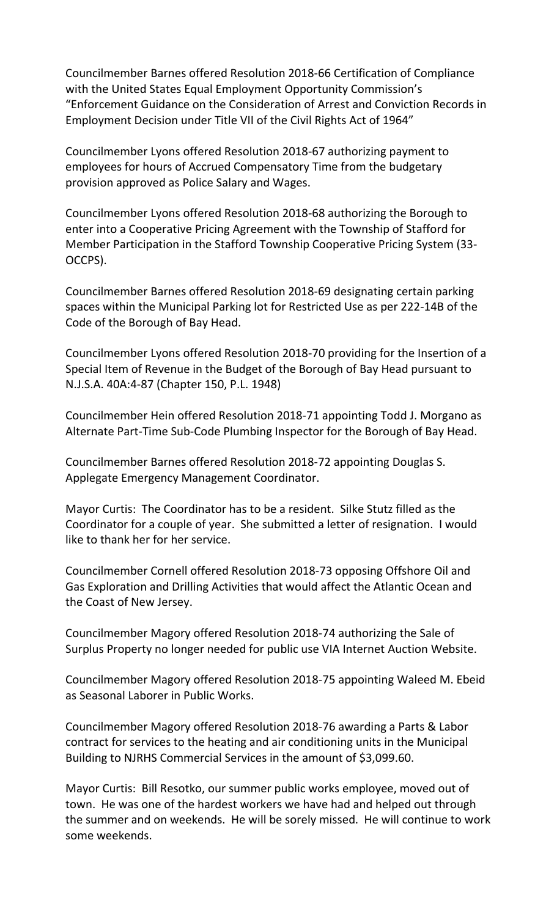Councilmember Barnes offered Resolution 2018-66 Certification of Compliance with the United States Equal Employment Opportunity Commission's "Enforcement Guidance on the Consideration of Arrest and Conviction Records in Employment Decision under Title VII of the Civil Rights Act of 1964"

Councilmember Lyons offered Resolution 2018-67 authorizing payment to employees for hours of Accrued Compensatory Time from the budgetary provision approved as Police Salary and Wages.

Councilmember Lyons offered Resolution 2018-68 authorizing the Borough to enter into a Cooperative Pricing Agreement with the Township of Stafford for Member Participation in the Stafford Township Cooperative Pricing System (33- OCCPS).

Councilmember Barnes offered Resolution 2018-69 designating certain parking spaces within the Municipal Parking lot for Restricted Use as per 222-14B of the Code of the Borough of Bay Head.

Councilmember Lyons offered Resolution 2018-70 providing for the Insertion of a Special Item of Revenue in the Budget of the Borough of Bay Head pursuant to N.J.S.A. 40A:4-87 (Chapter 150, P.L. 1948)

Councilmember Hein offered Resolution 2018-71 appointing Todd J. Morgano as Alternate Part-Time Sub-Code Plumbing Inspector for the Borough of Bay Head.

Councilmember Barnes offered Resolution 2018-72 appointing Douglas S. Applegate Emergency Management Coordinator.

Mayor Curtis: The Coordinator has to be a resident. Silke Stutz filled as the Coordinator for a couple of year. She submitted a letter of resignation. I would like to thank her for her service.

Councilmember Cornell offered Resolution 2018-73 opposing Offshore Oil and Gas Exploration and Drilling Activities that would affect the Atlantic Ocean and the Coast of New Jersey.

Councilmember Magory offered Resolution 2018-74 authorizing the Sale of Surplus Property no longer needed for public use VIA Internet Auction Website.

Councilmember Magory offered Resolution 2018-75 appointing Waleed M. Ebeid as Seasonal Laborer in Public Works.

Councilmember Magory offered Resolution 2018-76 awarding a Parts & Labor contract for services to the heating and air conditioning units in the Municipal Building to NJRHS Commercial Services in the amount of \$3,099.60.

Mayor Curtis: Bill Resotko, our summer public works employee, moved out of town. He was one of the hardest workers we have had and helped out through the summer and on weekends. He will be sorely missed. He will continue to work some weekends.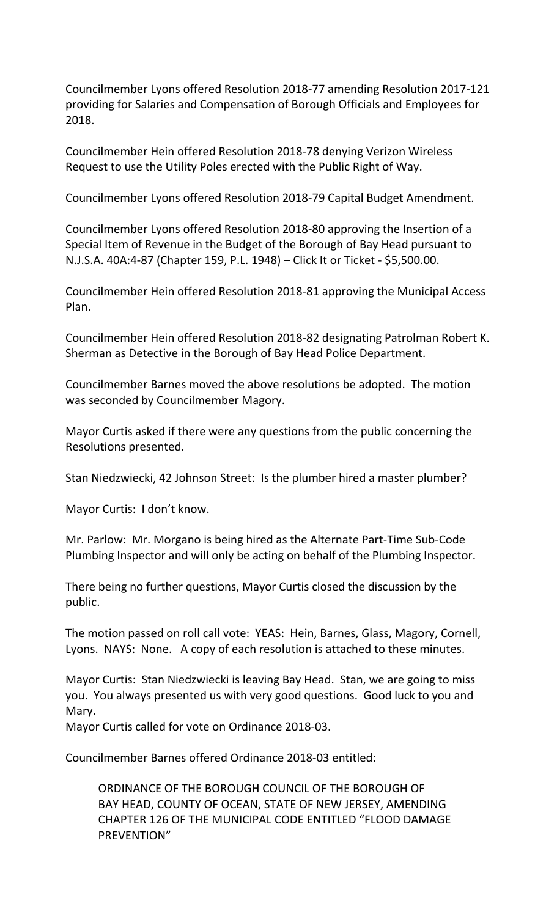Councilmember Lyons offered Resolution 2018-77 amending Resolution 2017-121 providing for Salaries and Compensation of Borough Officials and Employees for 2018.

Councilmember Hein offered Resolution 2018-78 denying Verizon Wireless Request to use the Utility Poles erected with the Public Right of Way.

Councilmember Lyons offered Resolution 2018-79 Capital Budget Amendment.

Councilmember Lyons offered Resolution 2018-80 approving the Insertion of a Special Item of Revenue in the Budget of the Borough of Bay Head pursuant to N.J.S.A. 40A:4-87 (Chapter 159, P.L. 1948) – Click It or Ticket - \$5,500.00.

Councilmember Hein offered Resolution 2018-81 approving the Municipal Access Plan.

Councilmember Hein offered Resolution 2018-82 designating Patrolman Robert K. Sherman as Detective in the Borough of Bay Head Police Department.

Councilmember Barnes moved the above resolutions be adopted. The motion was seconded by Councilmember Magory.

Mayor Curtis asked if there were any questions from the public concerning the Resolutions presented.

Stan Niedzwiecki, 42 Johnson Street: Is the plumber hired a master plumber?

Mayor Curtis: I don't know.

Mr. Parlow: Mr. Morgano is being hired as the Alternate Part-Time Sub-Code Plumbing Inspector and will only be acting on behalf of the Plumbing Inspector.

There being no further questions, Mayor Curtis closed the discussion by the public.

The motion passed on roll call vote: YEAS: Hein, Barnes, Glass, Magory, Cornell, Lyons. NAYS: None. A copy of each resolution is attached to these minutes.

Mayor Curtis: Stan Niedzwiecki is leaving Bay Head. Stan, we are going to miss you. You always presented us with very good questions. Good luck to you and Mary.

Mayor Curtis called for vote on Ordinance 2018-03.

Councilmember Barnes offered Ordinance 2018-03 entitled:

ORDINANCE OF THE BOROUGH COUNCIL OF THE BOROUGH OF BAY HEAD, COUNTY OF OCEAN, STATE OF NEW JERSEY, AMENDING CHAPTER 126 OF THE MUNICIPAL CODE ENTITLED "FLOOD DAMAGE PREVENTION"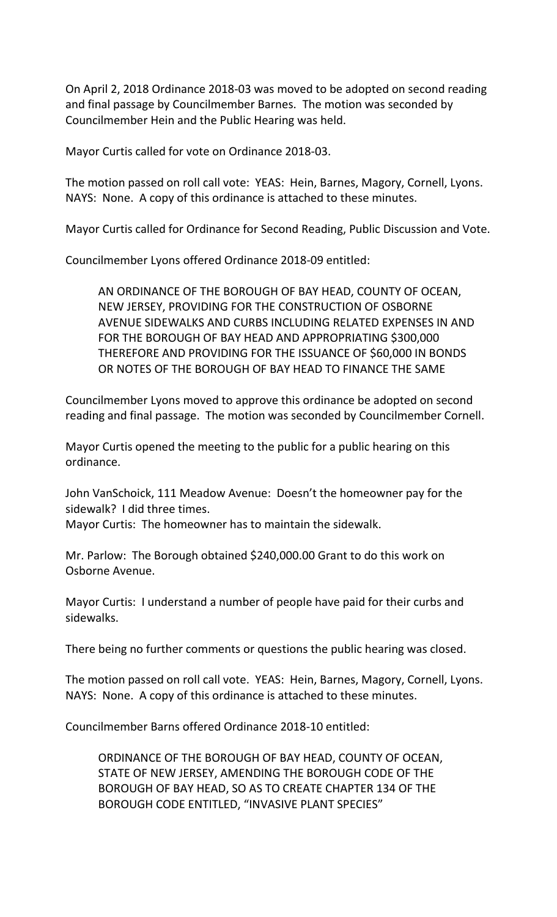On April 2, 2018 Ordinance 2018-03 was moved to be adopted on second reading and final passage by Councilmember Barnes. The motion was seconded by Councilmember Hein and the Public Hearing was held.

Mayor Curtis called for vote on Ordinance 2018-03.

The motion passed on roll call vote: YEAS: Hein, Barnes, Magory, Cornell, Lyons. NAYS: None. A copy of this ordinance is attached to these minutes.

Mayor Curtis called for Ordinance for Second Reading, Public Discussion and Vote.

Councilmember Lyons offered Ordinance 2018-09 entitled:

AN ORDINANCE OF THE BOROUGH OF BAY HEAD, COUNTY OF OCEAN, NEW JERSEY, PROVIDING FOR THE CONSTRUCTION OF OSBORNE AVENUE SIDEWALKS AND CURBS INCLUDING RELATED EXPENSES IN AND FOR THE BOROUGH OF BAY HEAD AND APPROPRIATING \$300,000 THEREFORE AND PROVIDING FOR THE ISSUANCE OF \$60,000 IN BONDS OR NOTES OF THE BOROUGH OF BAY HEAD TO FINANCE THE SAME

Councilmember Lyons moved to approve this ordinance be adopted on second reading and final passage. The motion was seconded by Councilmember Cornell.

Mayor Curtis opened the meeting to the public for a public hearing on this ordinance.

John VanSchoick, 111 Meadow Avenue: Doesn't the homeowner pay for the sidewalk? I did three times.

Mayor Curtis: The homeowner has to maintain the sidewalk.

Mr. Parlow: The Borough obtained \$240,000.00 Grant to do this work on Osborne Avenue.

Mayor Curtis: I understand a number of people have paid for their curbs and sidewalks.

There being no further comments or questions the public hearing was closed.

The motion passed on roll call vote. YEAS: Hein, Barnes, Magory, Cornell, Lyons. NAYS: None. A copy of this ordinance is attached to these minutes.

Councilmember Barns offered Ordinance 2018-10 entitled:

ORDINANCE OF THE BOROUGH OF BAY HEAD, COUNTY OF OCEAN, STATE OF NEW JERSEY, AMENDING THE BOROUGH CODE OF THE BOROUGH OF BAY HEAD, SO AS TO CREATE CHAPTER 134 OF THE BOROUGH CODE ENTITLED, "INVASIVE PLANT SPECIES"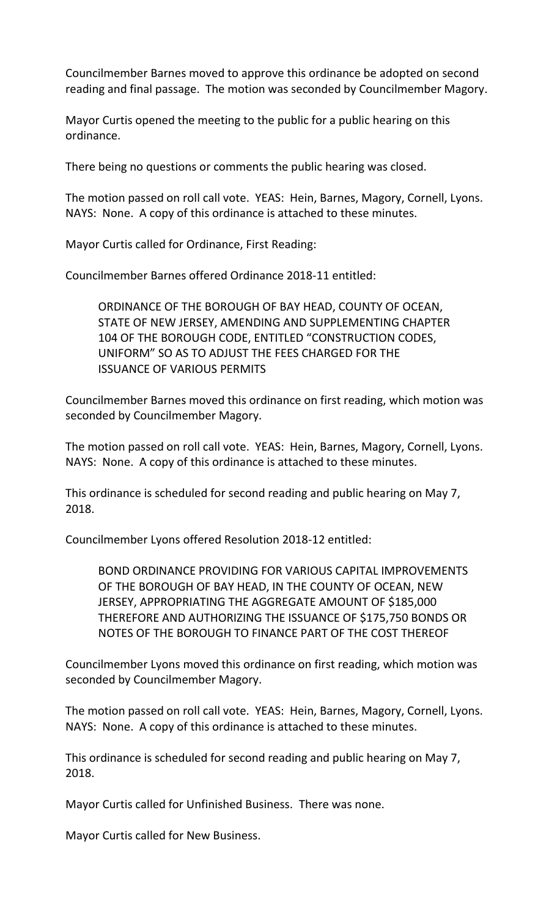Councilmember Barnes moved to approve this ordinance be adopted on second reading and final passage. The motion was seconded by Councilmember Magory.

Mayor Curtis opened the meeting to the public for a public hearing on this ordinance.

There being no questions or comments the public hearing was closed.

The motion passed on roll call vote. YEAS: Hein, Barnes, Magory, Cornell, Lyons. NAYS: None. A copy of this ordinance is attached to these minutes.

Mayor Curtis called for Ordinance, First Reading:

Councilmember Barnes offered Ordinance 2018-11 entitled:

ORDINANCE OF THE BOROUGH OF BAY HEAD, COUNTY OF OCEAN, STATE OF NEW JERSEY, AMENDING AND SUPPLEMENTING CHAPTER 104 OF THE BOROUGH CODE, ENTITLED "CONSTRUCTION CODES, UNIFORM" SO AS TO ADJUST THE FEES CHARGED FOR THE ISSUANCE OF VARIOUS PERMITS

Councilmember Barnes moved this ordinance on first reading, which motion was seconded by Councilmember Magory.

The motion passed on roll call vote. YEAS: Hein, Barnes, Magory, Cornell, Lyons. NAYS: None. A copy of this ordinance is attached to these minutes.

This ordinance is scheduled for second reading and public hearing on May 7, 2018.

Councilmember Lyons offered Resolution 2018-12 entitled:

BOND ORDINANCE PROVIDING FOR VARIOUS CAPITAL IMPROVEMENTS OF THE BOROUGH OF BAY HEAD, IN THE COUNTY OF OCEAN, NEW JERSEY, APPROPRIATING THE AGGREGATE AMOUNT OF \$185,000 THEREFORE AND AUTHORIZING THE ISSUANCE OF \$175,750 BONDS OR NOTES OF THE BOROUGH TO FINANCE PART OF THE COST THEREOF

Councilmember Lyons moved this ordinance on first reading, which motion was seconded by Councilmember Magory.

The motion passed on roll call vote. YEAS: Hein, Barnes, Magory, Cornell, Lyons. NAYS: None. A copy of this ordinance is attached to these minutes.

This ordinance is scheduled for second reading and public hearing on May 7, 2018.

Mayor Curtis called for Unfinished Business. There was none.

Mayor Curtis called for New Business.